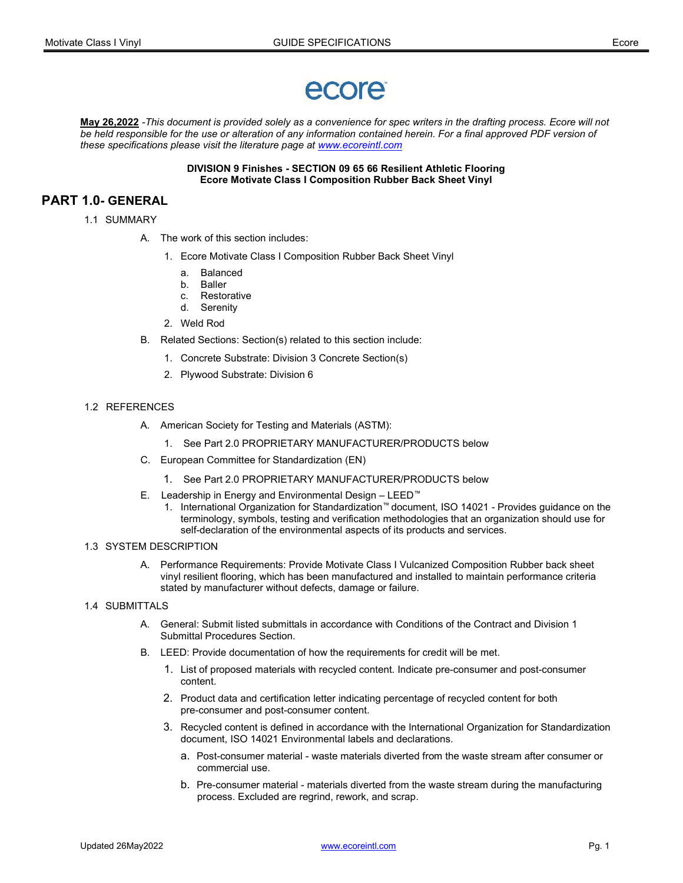# ecore

May 26,2022 -This document is provided solely as a convenience for spec writers in the drafting process. Ecore will not be held responsible for the use or alteration of any information contained herein. For a final approved PDF version of these specifications please visit the literature page at www.ecoreintl.com

> DIVISION 9 Finishes - SECTION 09 65 66 Resilient Athletic Flooring Ecore Motivate Class I Composition Rubber Back Sheet Vinyl

# PART 1.0- GENERAL

- 1.1 SUMMARY
	- A. The work of this section includes:
		- 1. Ecore Motivate Class I Composition Rubber Back Sheet Vinyl
			- a. Balanced
			- b. Baller
			- c. Restorative
			- d. Serenity
		- 2. Weld Rod
	- B. Related Sections: Section(s) related to this section include:
		- 1. Concrete Substrate: Division 3 Concrete Section(s)
		- 2. Plywood Substrate: Division 6

#### 1.2 REFERENCES

- A. American Society for Testing and Materials (ASTM):
	- 1. See Part 2.0 PROPRIETARY MANUFACTURER/PRODUCTS below
- C. European Committee for Standardization (EN)
	- 1. See Part 2.0 PROPRIETARY MANUFACTURER/PRODUCTS below
- E. Leadership in Energy and Environmental Design LEED™
	- 1. International Organization for Standardization™ document, ISO 14021 Provides guidance on the terminology, symbols, testing and verification methodologies that an organization should use for self-declaration of the environmental aspects of its products and services.

#### 1.3 SYSTEM DESCRIPTION

- A. Performance Requirements: Provide Motivate Class I Vulcanized Composition Rubber back sheet vinyl resilient flooring, which has been manufactured and installed to maintain performance criteria stated by manufacturer without defects, damage or failure.
- 1.4 SUBMITTALS
	- A. General: Submit listed submittals in accordance with Conditions of the Contract and Division 1 Submittal Procedures Section.
	- B. LEED: Provide documentation of how the requirements for credit will be met.
		- 1. List of proposed materials with recycled content. Indicate pre-consumer and post-consumer content.
		- 2. Product data and certification letter indicating percentage of recycled content for both pre-consumer and post-consumer content.
		- 3. Recycled content is defined in accordance with the International Organization for Standardization document, ISO 14021 Environmental labels and declarations.
			- a. Post-consumer material waste materials diverted from the waste stream after consumer or commercial use.
			- b. Pre-consumer material materials diverted from the waste stream during the manufacturing process. Excluded are regrind, rework, and scrap.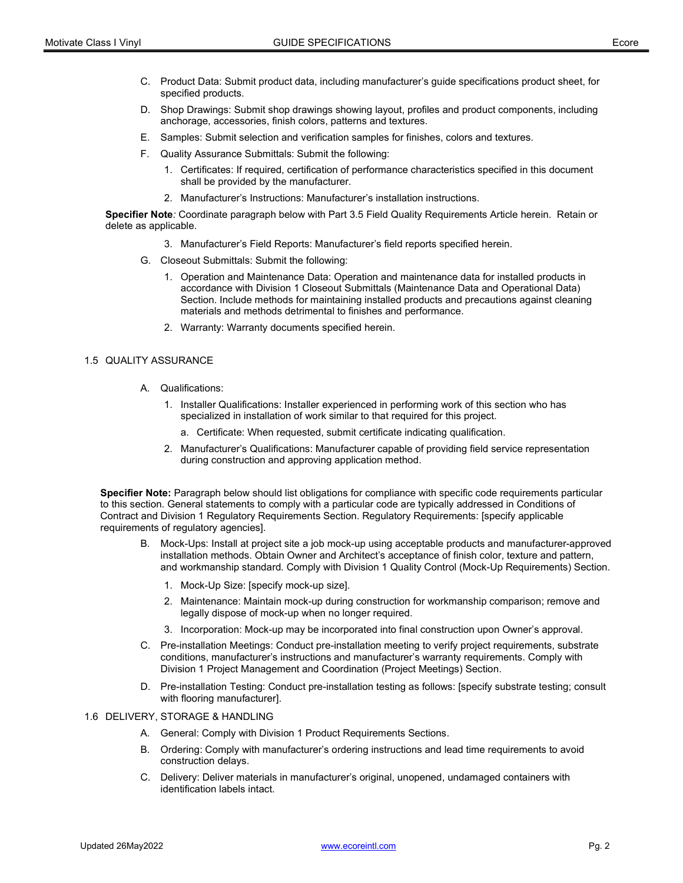- C. Product Data: Submit product data, including manufacturer's guide specifications product sheet, for specified products.
- D. Shop Drawings: Submit shop drawings showing layout, profiles and product components, including anchorage, accessories, finish colors, patterns and textures.
- E. Samples: Submit selection and verification samples for finishes, colors and textures.
- F. Quality Assurance Submittals: Submit the following:
	- 1. Certificates: If required, certification of performance characteristics specified in this document shall be provided by the manufacturer.
	- 2. Manufacturer's Instructions: Manufacturer's installation instructions.

Specifier Note: Coordinate paragraph below with Part 3.5 Field Quality Requirements Article herein. Retain or delete as applicable.

- 3. Manufacturer's Field Reports: Manufacturer's field reports specified herein.
- G. Closeout Submittals: Submit the following:
	- 1. Operation and Maintenance Data: Operation and maintenance data for installed products in accordance with Division 1 Closeout Submittals (Maintenance Data and Operational Data) Section. Include methods for maintaining installed products and precautions against cleaning materials and methods detrimental to finishes and performance.
	- 2. Warranty: Warranty documents specified herein.

#### 1.5 QUALITY ASSURANCE

- A. Qualifications:
	- 1. Installer Qualifications: Installer experienced in performing work of this section who has specialized in installation of work similar to that required for this project.
		- a. Certificate: When requested, submit certificate indicating qualification.
	- 2. Manufacturer's Qualifications: Manufacturer capable of providing field service representation during construction and approving application method.

Specifier Note: Paragraph below should list obligations for compliance with specific code requirements particular to this section. General statements to comply with a particular code are typically addressed in Conditions of Contract and Division 1 Regulatory Requirements Section. Regulatory Requirements: [specify applicable requirements of regulatory agencies].

- B. Mock-Ups: Install at project site a job mock-up using acceptable products and manufacturer-approved installation methods. Obtain Owner and Architect's acceptance of finish color, texture and pattern, and workmanship standard. Comply with Division 1 Quality Control (Mock-Up Requirements) Section.
	- 1. Mock-Up Size: [specify mock-up size].
	- 2. Maintenance: Maintain mock-up during construction for workmanship comparison; remove and legally dispose of mock-up when no longer required.
	- 3. Incorporation: Mock-up may be incorporated into final construction upon Owner's approval.
- C. Pre-installation Meetings: Conduct pre-installation meeting to verify project requirements, substrate conditions, manufacturer's instructions and manufacturer's warranty requirements. Comply with Division 1 Project Management and Coordination (Project Meetings) Section.
- D. Pre-installation Testing: Conduct pre-installation testing as follows: [specify substrate testing; consult with flooring manufacturer].
- 1.6 DELIVERY, STORAGE & HANDLING
	- A. General: Comply with Division 1 Product Requirements Sections.
	- B. Ordering: Comply with manufacturer's ordering instructions and lead time requirements to avoid construction delays.
	- C. Delivery: Deliver materials in manufacturer's original, unopened, undamaged containers with identification labels intact.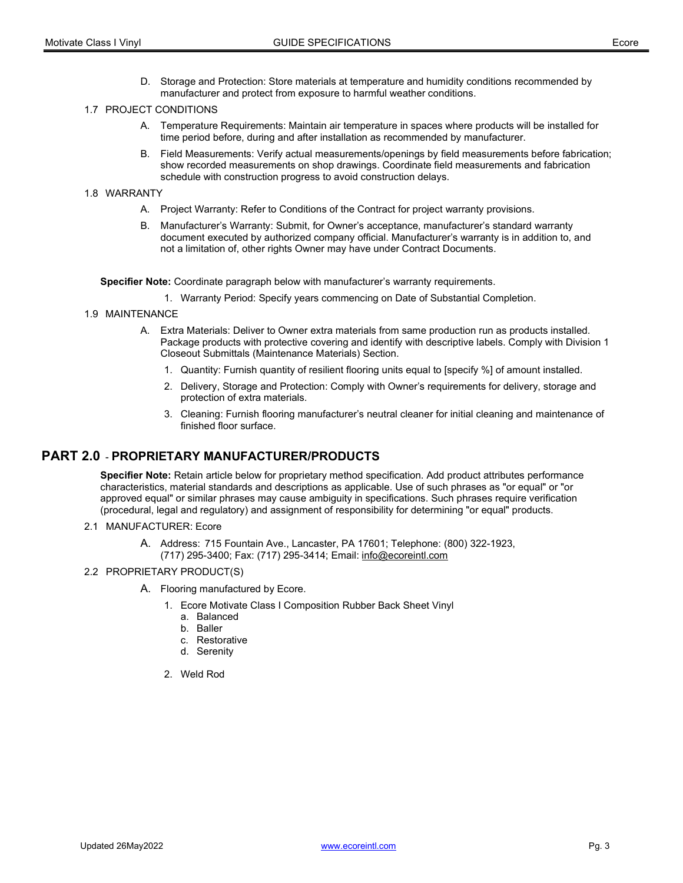D. Storage and Protection: Store materials at temperature and humidity conditions recommended by manufacturer and protect from exposure to harmful weather conditions.

#### 1.7 PROJECT CONDITIONS

- A. Temperature Requirements: Maintain air temperature in spaces where products will be installed for time period before, during and after installation as recommended by manufacturer.
- B. Field Measurements: Verify actual measurements/openings by field measurements before fabrication; show recorded measurements on shop drawings. Coordinate field measurements and fabrication schedule with construction progress to avoid construction delays.

#### 1.8 WARRANTY

- A. Project Warranty: Refer to Conditions of the Contract for project warranty provisions.
- B. Manufacturer's Warranty: Submit, for Owner's acceptance, manufacturer's standard warranty document executed by authorized company official. Manufacturer's warranty is in addition to, and not a limitation of, other rights Owner may have under Contract Documents.

Specifier Note: Coordinate paragraph below with manufacturer's warranty requirements.

- 1. Warranty Period: Specify years commencing on Date of Substantial Completion.
- 1.9 MAINTENANCE
	- A. Extra Materials: Deliver to Owner extra materials from same production run as products installed. Package products with protective covering and identify with descriptive labels. Comply with Division 1 Closeout Submittals (Maintenance Materials) Section.
		- 1. Quantity: Furnish quantity of resilient flooring units equal to [specify %] of amount installed.
		- 2. Delivery, Storage and Protection: Comply with Owner's requirements for delivery, storage and protection of extra materials.
		- 3. Cleaning: Furnish flooring manufacturer's neutral cleaner for initial cleaning and maintenance of finished floor surface.

# PART 2.0 - PROPRIETARY MANUFACTURER/PRODUCTS

Specifier Note: Retain article below for proprietary method specification. Add product attributes performance characteristics, material standards and descriptions as applicable. Use of such phrases as "or equal" or "or approved equal" or similar phrases may cause ambiguity in specifications. Such phrases require verification (procedural, legal and regulatory) and assignment of responsibility for determining "or equal" products.

- 2.1 MANUFACTURER: Ecore
	- A. Address: 715 Fountain Ave., Lancaster, PA 17601; Telephone: (800) 322-1923, (717) 295-3400; Fax: (717) 295-3414; Email: info@ecoreintl.com
- 2.2 PROPRIETARY PRODUCT(S)
	- A. Flooring manufactured by Ecore.
		- 1. Ecore Motivate Class I Composition Rubber Back Sheet Vinyl
			- a. Balanced
			- b. Baller
			- c. Restorative
			- d. Serenity
		- 2. Weld Rod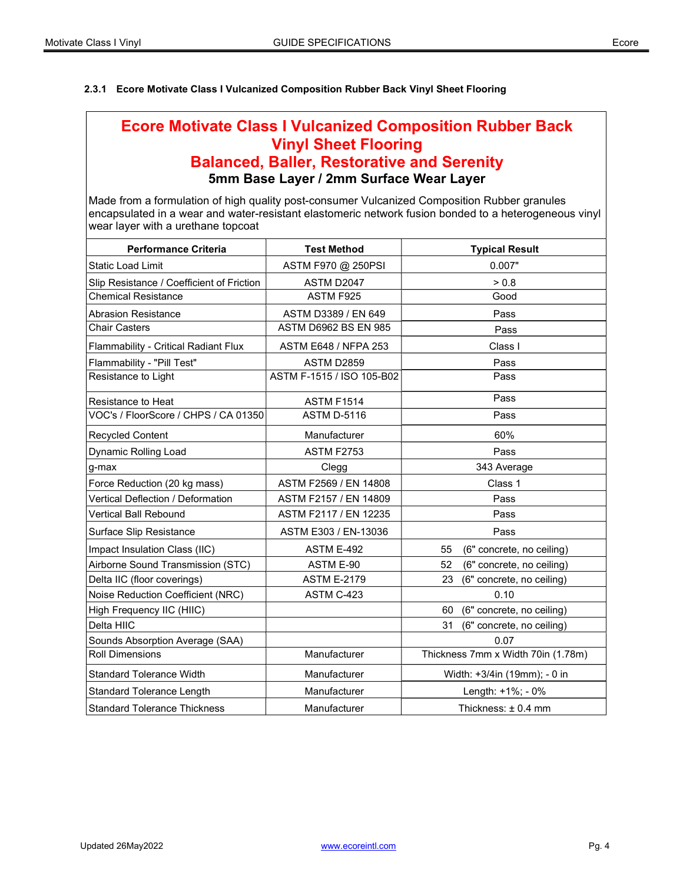# 2.3.1 Ecore Motivate Class I Vulcanized Composition Rubber Back Vinyl Sheet Flooring

# Ecore Motivate Class I Vulcanized Composition Rubber Back Vinyl Sheet Flooring Balanced, Baller, Restorative and Serenity 5mm Base Layer / 2mm Surface Wear Layer

Made from a formulation of high quality post-consumer Vulcanized Composition Rubber granules encapsulated in a wear and water-resistant elastomeric network fusion bonded to a heterogeneous vinyl wear layer with a urethane topcoat

| <b>Performance Criteria</b>               | <b>Test Method</b>          | <b>Typical Result</b>              |
|-------------------------------------------|-----------------------------|------------------------------------|
| <b>Static Load Limit</b>                  | ASTM F970 @ 250PSI          | 0.007"                             |
| Slip Resistance / Coefficient of Friction | ASTM D2047                  | > 0.8                              |
| <b>Chemical Resistance</b>                | ASTM F925                   | Good                               |
| <b>Abrasion Resistance</b>                | ASTM D3389 / EN 649         | Pass                               |
| <b>Chair Casters</b>                      | ASTM D6962 BS EN 985        | Pass                               |
| Flammability - Critical Radiant Flux      | <b>ASTM E648 / NFPA 253</b> | Class I                            |
| Flammability - "Pill Test"                | ASTM D2859                  | Pass                               |
| Resistance to Light                       | ASTM F-1515 / ISO 105-B02   | Pass                               |
| Resistance to Heat                        | <b>ASTM F1514</b>           | Pass                               |
| VOC's / FloorScore / CHPS / CA 01350      | <b>ASTM D-5116</b>          | Pass                               |
| <b>Recycled Content</b>                   | Manufacturer                | 60%                                |
| Dynamic Rolling Load                      | <b>ASTM F2753</b>           | Pass                               |
| g-max                                     | Clegg                       | 343 Average                        |
| Force Reduction (20 kg mass)              | ASTM F2569 / EN 14808       | Class 1                            |
| Vertical Deflection / Deformation         | ASTM F2157 / EN 14809       | Pass                               |
| Vertical Ball Rebound                     | ASTM F2117 / EN 12235       | Pass                               |
| Surface Slip Resistance                   | ASTM E303 / EN-13036        | Pass                               |
| Impact Insulation Class (IIC)             | <b>ASTM E-492</b>           | (6" concrete, no ceiling)<br>55    |
| Airborne Sound Transmission (STC)         | ASTM E-90                   | 52<br>(6" concrete, no ceiling)    |
| Delta IIC (floor coverings)               | <b>ASTM E-2179</b>          | (6" concrete, no ceiling)<br>23    |
| Noise Reduction Coefficient (NRC)         | ASTM C-423                  | 0.10                               |
| High Frequency IIC (HIIC)                 |                             | (6" concrete, no ceiling)<br>60    |
| Delta HIIC                                |                             | (6" concrete, no ceiling)<br>31    |
| Sounds Absorption Average (SAA)           |                             | 0.07                               |
| <b>Roll Dimensions</b>                    | Manufacturer                | Thickness 7mm x Width 70in (1.78m) |
| <b>Standard Tolerance Width</b>           | Manufacturer                | Width: +3/4in (19mm); - 0 in       |
| <b>Standard Tolerance Length</b>          | Manufacturer                | Length: +1%; - 0%                  |
| <b>Standard Tolerance Thickness</b>       | Manufacturer                | Thickness: ± 0.4 mm                |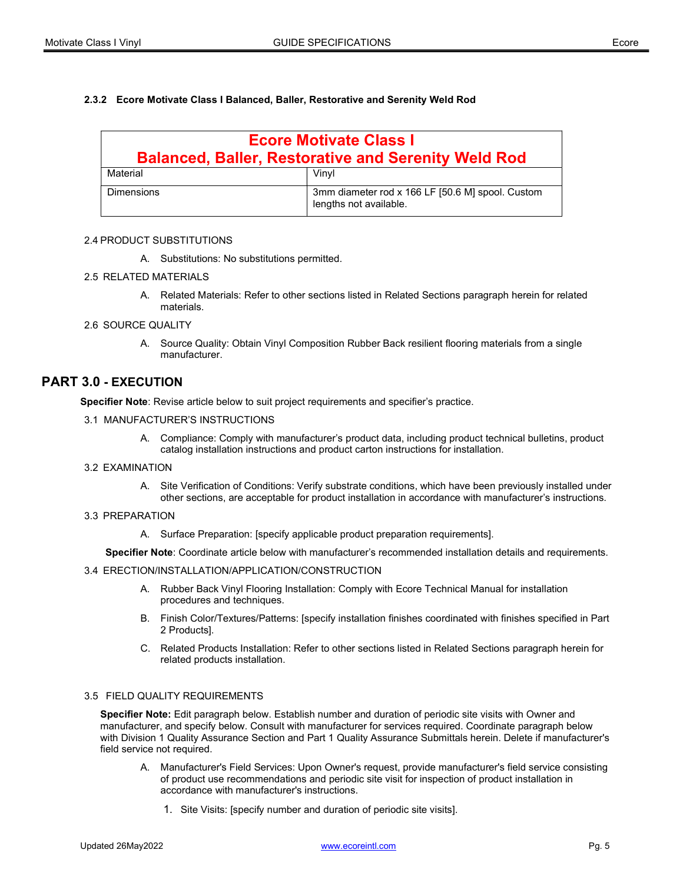## 2.3.2 Ecore Motivate Class I Balanced, Baller, Restorative and Serenity Weld Rod

| <b>Ecore Motivate Class I</b><br><b>Balanced, Baller, Restorative and Serenity Weld Rod</b> |                                                                            |  |
|---------------------------------------------------------------------------------------------|----------------------------------------------------------------------------|--|
| Material                                                                                    | Vinvl                                                                      |  |
| Dimensions                                                                                  | 3mm diameter rod x 166 LF [50.6 M] spool. Custom<br>lengths not available. |  |

#### 2.4 PRODUCT SUBSTITUTIONS

A. Substitutions: No substitutions permitted.

#### 2.5 RELATED MATERIALS

A. Related Materials: Refer to other sections listed in Related Sections paragraph herein for related materials.

#### 2.6 SOURCE QUALITY

A. Source Quality: Obtain Vinyl Composition Rubber Back resilient flooring materials from a single manufacturer.

# PART 3.0 - EXECUTION

Specifier Note: Revise article below to suit project requirements and specifier's practice.

#### 3.1 MANUFACTURER'S INSTRUCTIONS

A. Compliance: Comply with manufacturer's product data, including product technical bulletins, product catalog installation instructions and product carton instructions for installation.

#### 3.2 EXAMINATION

A. Site Verification of Conditions: Verify substrate conditions, which have been previously installed under other sections, are acceptable for product installation in accordance with manufacturer's instructions.

#### 3.3 PREPARATION

A. Surface Preparation: [specify applicable product preparation requirements].

Specifier Note: Coordinate article below with manufacturer's recommended installation details and requirements.

#### 3.4 ERECTION/INSTALLATION/APPLICATION/CONSTRUCTION

- A. Rubber Back Vinyl Flooring Installation: Comply with Ecore Technical Manual for installation procedures and techniques.
- B. Finish Color/Textures/Patterns: [specify installation finishes coordinated with finishes specified in Part 2 Products].
- C. Related Products Installation: Refer to other sections listed in Related Sections paragraph herein for related products installation.

#### 3.5 FIELD QUALITY REQUIREMENTS

Specifier Note: Edit paragraph below. Establish number and duration of periodic site visits with Owner and manufacturer, and specify below. Consult with manufacturer for services required. Coordinate paragraph below with Division 1 Quality Assurance Section and Part 1 Quality Assurance Submittals herein. Delete if manufacturer's field service not required.

- A. Manufacturer's Field Services: Upon Owner's request, provide manufacturer's field service consisting of product use recommendations and periodic site visit for inspection of product installation in accordance with manufacturer's instructions.
	- 1. Site Visits: [specify number and duration of periodic site visits].